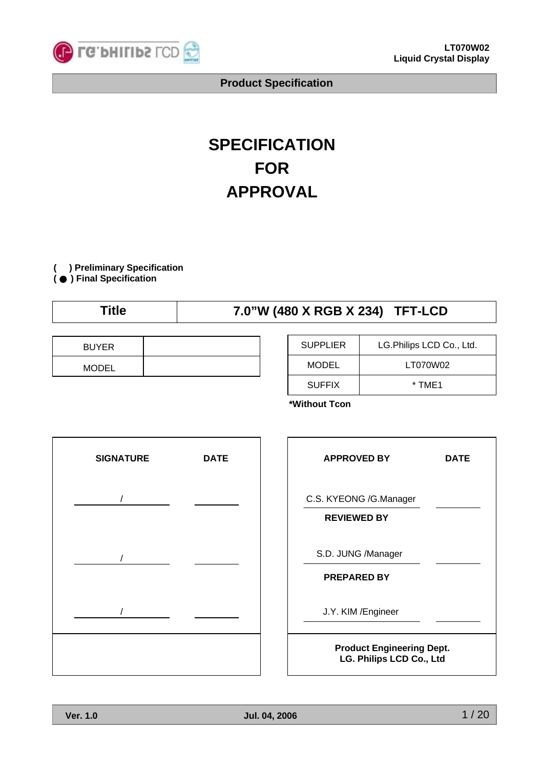

# **SPECIFICATION FOR APPROVAL**

**( ) Preliminary Specification**

**(** ● **) Final Specification**

## **Title 7.0"W (480 X RGB X 234) TFT-LCD**

| <b>BUYER</b> |  |
|--------------|--|
| <b>MODEL</b> |  |

| <b>SUPPLIER</b> | LG. Philips LCD Co., Ltd. |
|-----------------|---------------------------|
| MODEL           | LT070W02                  |
| <b>SUFFIX</b>   | * TMF1                    |

**\*Without Tcon**

| <b>SIGNATURE</b> | <b>DATE</b> |
|------------------|-------------|
| $\sqrt{2}$       |             |
| $\prime$         |             |
|                  |             |
|                  |             |
|                  |             |

| <b>APPROVED BY</b>                                           | DATE |  |  |  |  |
|--------------------------------------------------------------|------|--|--|--|--|
| C.S. KYEONG /G.Manager<br><b>REVIEWED BY</b>                 |      |  |  |  |  |
| S.D. JUNG /Manager<br><b>PREPARED BY</b>                     |      |  |  |  |  |
| J.Y. KIM / Engineer                                          |      |  |  |  |  |
| <b>Product Engineering Dept.</b><br>LG. Philips LCD Co., Ltd |      |  |  |  |  |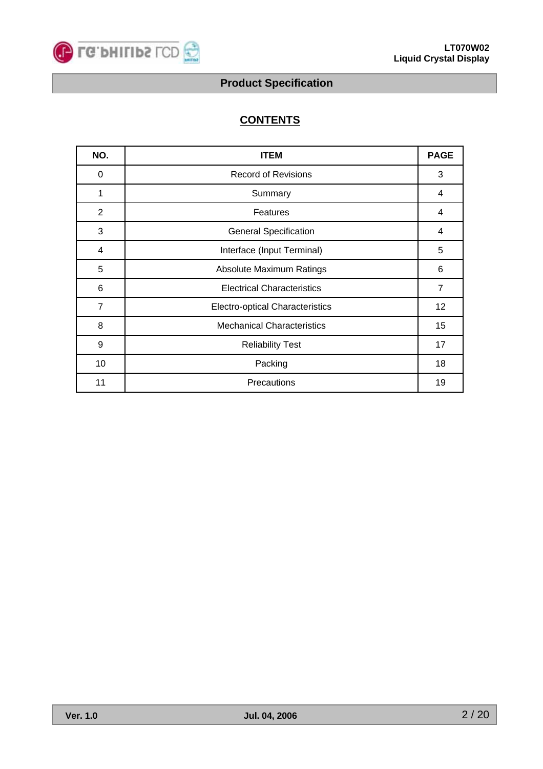

## **CONTENTS**

| NO.            | <b>ITEM</b>                            | <b>PAGE</b>    |
|----------------|----------------------------------------|----------------|
| 0              | <b>Record of Revisions</b>             | 3              |
| 1              | Summary                                | 4              |
| $\overline{2}$ | Features                               | 4              |
| 3              | <b>General Specification</b>           | 4              |
| 4              | Interface (Input Terminal)             | 5              |
| 5              | Absolute Maximum Ratings               | 6              |
| 6              | <b>Electrical Characteristics</b>      | $\overline{7}$ |
| $\overline{7}$ | <b>Electro-optical Characteristics</b> | 12             |
| 8              | <b>Mechanical Characteristics</b>      | 15             |
| 9              | <b>Reliability Test</b>                | 17             |
| 10             | Packing                                | 18             |
| 11             | Precautions                            | 19             |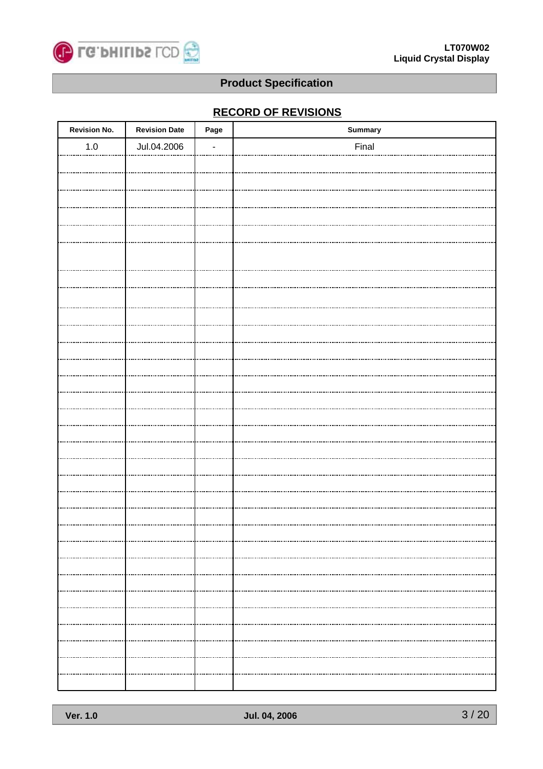

## **RECORD OF REVISIONS**

| <b>Revision No.</b>                | <b>Revision Date</b> | Page | <b>Summary</b> |
|------------------------------------|----------------------|------|----------------|
| $1.0\,$                            | Jul.04.2006          |      | Final          |
|                                    |                      |      |                |
|                                    |                      |      |                |
|                                    |                      |      |                |
|                                    |                      |      |                |
|                                    |                      |      |                |
|                                    |                      |      |                |
|                                    |                      |      |                |
|                                    |                      |      |                |
|                                    |                      |      |                |
|                                    |                      |      |                |
|                                    |                      |      |                |
|                                    |                      |      |                |
|                                    |                      |      |                |
|                                    |                      |      |                |
|                                    |                      |      |                |
|                                    |                      |      |                |
|                                    |                      |      |                |
|                                    |                      |      |                |
|                                    |                      |      |                |
|                                    |                      |      |                |
|                                    |                      |      |                |
|                                    |                      |      |                |
| ,,,,,,,,,,,,,,,,,,,,,,,,,,,,,,,,,, |                      |      |                |
|                                    |                      |      |                |
|                                    |                      |      |                |
|                                    |                      |      |                |
|                                    |                      |      |                |
|                                    |                      |      |                |
|                                    |                      |      |                |
|                                    |                      |      |                |
|                                    |                      |      |                |
|                                    |                      |      |                |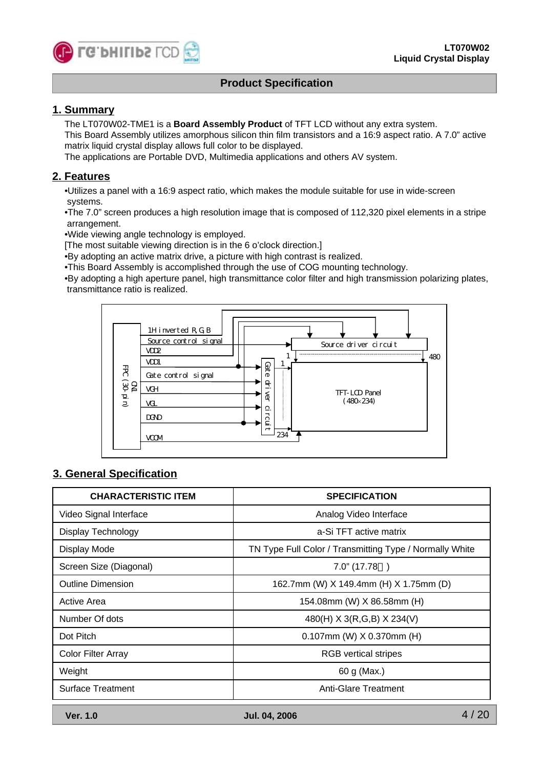

#### **1. Summary**

The LT070W02-TME1 is a **Board Assembly Product** of TFT LCD without any extra system.

This Board Assembly utilizes amorphous silicon thin film transistors and a 16:9 aspect ratio. A 7.0" active matrix liquid crystal display allows full color to be displayed.

The applications are Portable DVD, Multimedia applications and others AV system.

#### **2. Features**

•Utilizes a panel with a 16:9 aspect ratio, which makes the module suitable for use in wide-screen systems.

•The 7.0" screen produces a high resolution image that is composed of 112,320 pixel elements in a stripe arrangement.

•Wide viewing angle technology is employed.

[The most suitable viewing direction is in the 6 o'clock direction.]

•By adopting an active matrix drive, a picture with high contrast is realized.

•This Board Assembly is accomplished through the use of COG mounting technology.

•By adopting a high aperture panel, high transmittance color filter and high transmission polarizing plates, transmittance ratio is realized.



#### **3. General Specification**

| <b>CHARACTERISTIC ITEM</b> | <b>SPECIFICATION</b>                                    |  |  |  |  |
|----------------------------|---------------------------------------------------------|--|--|--|--|
| Video Signal Interface     | Analog Video Interface                                  |  |  |  |  |
| <b>Display Technology</b>  | a-Si TFT active matrix                                  |  |  |  |  |
| Display Mode               | TN Type Full Color / Transmitting Type / Normally White |  |  |  |  |
| Screen Size (Diagonal)     | $7.0$ " (17.78)                                         |  |  |  |  |
| <b>Outline Dimension</b>   | 162.7mm (W) X 149.4mm (H) X 1.75mm (D)                  |  |  |  |  |
| Active Area                | 154.08mm (W) X 86.58mm (H)                              |  |  |  |  |
| Number Of dots             | 480(H) X 3(R, G, B) X 234(V)                            |  |  |  |  |
| Dot Pitch                  | $0.107$ mm (W) $X$ 0.370mm (H)                          |  |  |  |  |
| Color Filter Array         | <b>RGB</b> vertical stripes                             |  |  |  |  |
| Weight                     | 60 g (Max.)                                             |  |  |  |  |
| <b>Surface Treatment</b>   | Anti-Glare Treatment                                    |  |  |  |  |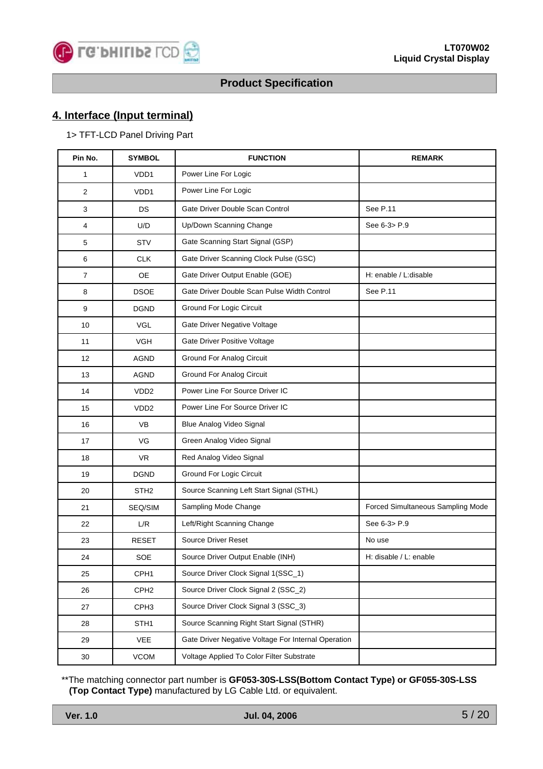

## **4. Interface (Input terminal)**

#### 1> TFT-LCD Panel Driving Part

| Pin No. | <b>SYMBOL</b>    | <b>FUNCTION</b>                                     | <b>REMARK</b>                     |
|---------|------------------|-----------------------------------------------------|-----------------------------------|
| 1       | VD <sub>D1</sub> | Power Line For Logic                                |                                   |
| 2       | VDD <sub>1</sub> | Power Line For Logic                                |                                   |
| 3       | <b>DS</b>        | Gate Driver Double Scan Control                     | See P.11                          |
| 4       | U/D              | Up/Down Scanning Change                             | See 6-3> P.9                      |
| 5       | <b>STV</b>       | Gate Scanning Start Signal (GSP)                    |                                   |
| 6       | <b>CLK</b>       | Gate Driver Scanning Clock Pulse (GSC)              |                                   |
| 7       | OE               | Gate Driver Output Enable (GOE)                     | H: enable / L:disable             |
| 8       | <b>DSOE</b>      | Gate Driver Double Scan Pulse Width Control         | See P.11                          |
| 9       | <b>DGND</b>      | Ground For Logic Circuit                            |                                   |
| 10      | <b>VGL</b>       | Gate Driver Negative Voltage                        |                                   |
| 11      | <b>VGH</b>       | Gate Driver Positive Voltage                        |                                   |
| 12      | AGND             | <b>Ground For Analog Circuit</b>                    |                                   |
| 13      | AGND             | <b>Ground For Analog Circuit</b>                    |                                   |
| 14      | VDD <sub>2</sub> | Power Line For Source Driver IC                     |                                   |
| 15      | VDD <sub>2</sub> | Power Line For Source Driver IC                     |                                   |
| 16      | <b>VB</b>        | Blue Analog Video Signal                            |                                   |
| 17      | VG               | Green Analog Video Signal                           |                                   |
| 18      | <b>VR</b>        | Red Analog Video Signal                             |                                   |
| 19      | <b>DGND</b>      | <b>Ground For Logic Circuit</b>                     |                                   |
| 20      | STH <sub>2</sub> | Source Scanning Left Start Signal (STHL)            |                                   |
| 21      | SEQ/SIM          | Sampling Mode Change                                | Forced Simultaneous Sampling Mode |
| 22      | L/R              | Left/Right Scanning Change                          | See 6-3> P.9                      |
| 23      | <b>RESET</b>     | Source Driver Reset                                 | No use                            |
| 24      | SOE              | Source Driver Output Enable (INH)                   | H: disable / L: enable            |
| 25      | CPH <sub>1</sub> | Source Driver Clock Signal 1(SSC_1)                 |                                   |
| 26      | CPH <sub>2</sub> | Source Driver Clock Signal 2 (SSC_2)                |                                   |
| 27      | CPH <sub>3</sub> | Source Driver Clock Signal 3 (SSC_3)                |                                   |
| 28      | STH <sub>1</sub> | Source Scanning Right Start Signal (STHR)           |                                   |
| 29      | VEE              | Gate Driver Negative Voltage For Internal Operation |                                   |
| 30      | VCOM             | Voltage Applied To Color Filter Substrate           |                                   |

\*\*The matching connector part number is **GF053-30S-LSS(Bottom Contact Type) or GF055-30S-LSS (Top Contact Type)** manufactured by LG Cable Ltd. or equivalent.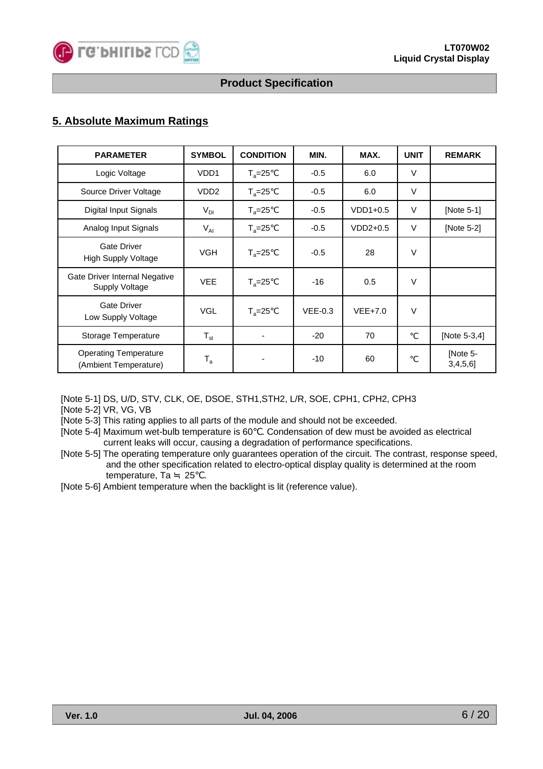

#### **5. Absolute Maximum Ratings**

| <b>PARAMETER</b>                                       | <b>SYMBOL</b>           | <b>CONDITION</b> | MIN.      | MAX.       | <b>UNIT</b> | <b>REMARK</b>           |
|--------------------------------------------------------|-------------------------|------------------|-----------|------------|-------------|-------------------------|
| Logic Voltage                                          | VDD <sub>1</sub>        | $T_a = 25$       | $-0.5$    | 6.0        | V           |                         |
| Source Driver Voltage                                  | VDD <sub>2</sub>        | $T_a = 25$       | $-0.5$    | 6.0        | $\vee$      |                         |
| Digital Input Signals                                  | $V_{DI}$                | $T_a = 25$       | $-0.5$    | $VDD1+0.5$ | $\vee$      | [Note 5-1]              |
| Analog Input Signals                                   | $V_{AI}$                | $T_a = 25$       | $-0.5$    | $VDD2+0.5$ | $\vee$      | [Note 5-2]              |
| <b>Gate Driver</b><br><b>High Supply Voltage</b>       | <b>VGH</b>              | $T_a = 25$       | $-0.5$    | 28         | $\vee$      |                         |
| Gate Driver Internal Negative<br><b>Supply Voltage</b> | <b>VEE</b>              | $T_a = 25$       | $-16$     | 0.5        | $\vee$      |                         |
| <b>Gate Driver</b><br>Low Supply Voltage               | <b>VGL</b>              | $T_a = 25$       | $VEE-0.3$ | $VEE+7.0$  | $\vee$      |                         |
| Storage Temperature                                    | $T_{\rm st}$            |                  | $-20$     | 70         |             | [Note 5-3,4]            |
| <b>Operating Temperature</b><br>(Ambient Temperature)  | $\mathsf{T}_\mathsf{a}$ |                  | $-10$     | 60         |             | [Note 5-<br>$3,4,5,6$ ] |

[Note 5-1] DS, U/D, STV, CLK, OE, DSOE, STH1,STH2, L/R, SOE, CPH1, CPH2, CPH3

[Note 5-2] VR, VG, VB

[Note 5-3] This rating applies to all parts of the module and should not be exceeded.

- [Note 5-4] Maximum wet-bulb temperature is 60 . Condensation of dew must be avoided as electrical current leaks will occur, causing a degradation of performance specifications.
- [Note 5-5] The operating temperature only guarantees operation of the circuit. The contrast, response speed, and the other specification related to electro-optical display quality is determined at the room temperature, Ta 25 .
- [Note 5-6] Ambient temperature when the backlight is lit (reference value).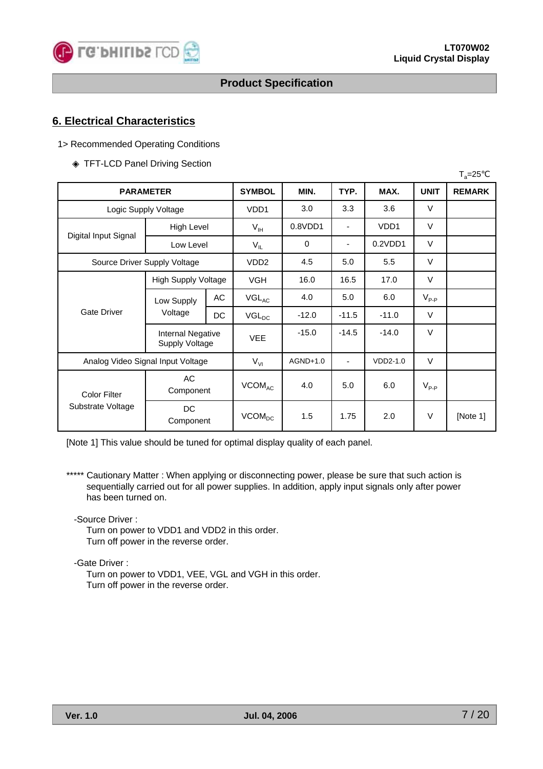

#### **6. Electrical Characteristics**

#### 1> Recommended Operating Conditions

#### TFT-LCD Panel Driving Section

|                                   |                                                   |     |                          |          |                |                   |             | $T_a = 25$    |
|-----------------------------------|---------------------------------------------------|-----|--------------------------|----------|----------------|-------------------|-------------|---------------|
| <b>PARAMETER</b>                  |                                                   |     | <b>SYMBOL</b>            | MIN.     | TYP.           | MAX.              | <b>UNIT</b> | <b>REMARK</b> |
|                                   | Logic Supply Voltage                              |     | VD <sub>D1</sub>         | 3.0      | 3.3            | 3.6               | V           |               |
|                                   | High Level                                        |     | $V_{IH}$                 | 0.8VDD1  | $\blacksquare$ | VD <sub>D</sub> 1 | $\vee$      |               |
| Digital Input Signal              | Low Level                                         |     | $V_{IL}$                 | 0        | -              | 0.2VDD1           | $\vee$      |               |
| Source Driver Supply Voltage      |                                                   |     | VDD <sub>2</sub>         | 4.5      | 5.0            | 5.5               | $\vee$      |               |
|                                   | <b>High Supply Voltage</b>                        |     | <b>VGH</b>               | 16.0     | 16.5           | 17.0              | $\vee$      |               |
| <b>Gate Driver</b>                | Low Supply<br>Voltage                             | AC  | $VGL_{AC}$               | 4.0      | 5.0            | 6.0               | $V_{P-P}$   |               |
|                                   |                                                   | DC. | $VGL_{DC}$               | $-12.0$  | $-11.5$        | $-11.0$           | $\vee$      |               |
|                                   | <b>Internal Negative</b><br><b>Supply Voltage</b> |     | <b>VEE</b>               | $-15.0$  | $-14.5$        | $-14.0$           | $\vee$      |               |
| Analog Video Signal Input Voltage |                                                   |     | $V_{VI}$                 | AGND+1.0 | ä,             | VDD2-1.0          | $\vee$      |               |
| <b>Color Filter</b>               | AC<br>Component                                   |     | VCOM <sub>AC</sub>       | 4.0      | 5.0            | 6.0               | $V_{P-P}$   |               |
| Substrate Voltage                 | DC<br>Component                                   |     | <b>VCOM<sub>DC</sub></b> | 1.5      | 1.75           | 2.0               | $\vee$      | [Note 1]      |

[Note 1] This value should be tuned for optimal display quality of each panel.

\*\*\*\*\* Cautionary Matter : When applying or disconnecting power, please be sure that such action is sequentially carried out for all power supplies. In addition, apply input signals only after power has been turned on.

-Source Driver :

Turn on power to VDD1 and VDD2 in this order. Turn off power in the reverse order.

-Gate Driver :

Turn on power to VDD1, VEE, VGL and VGH in this order. Turn off power in the reverse order.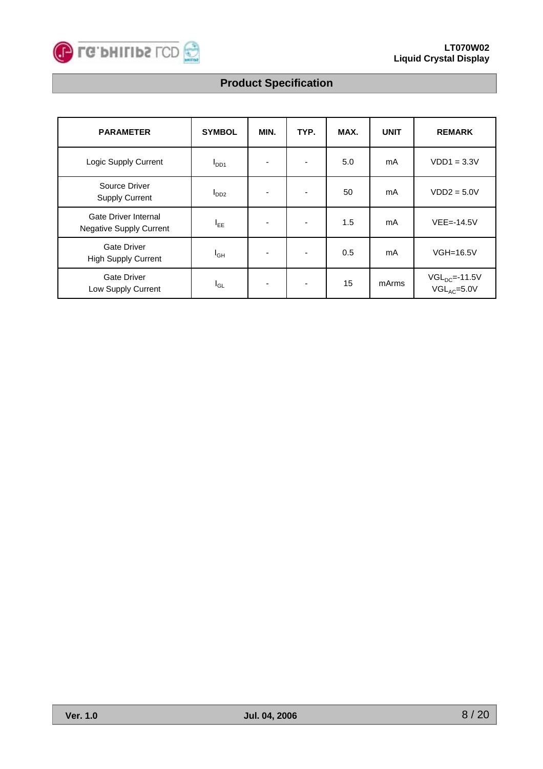

| <b>PARAMETER</b>                                       | <b>SYMBOL</b>    | MIN. | TYP.                     | MAX. | <b>UNIT</b> | <b>REMARK</b>                          |
|--------------------------------------------------------|------------------|------|--------------------------|------|-------------|----------------------------------------|
| Logic Supply Current                                   | $I_{DD1}$        |      | $\overline{\phantom{a}}$ | 5.0  | mA          | $VDD1 = 3.3V$                          |
| Source Driver<br><b>Supply Current</b>                 | I <sub>DD2</sub> |      | $\blacksquare$           | 50   | mA          | $VDD2 = 5.0V$                          |
| Gate Driver Internal<br><b>Negative Supply Current</b> | $I_{EE}$         |      | $\overline{\phantom{a}}$ | 1.5  | mA          | $VEE = -14.5V$                         |
| <b>Gate Driver</b><br><b>High Supply Current</b>       | $I_{GH}$         |      | $\overline{\phantom{a}}$ | 0.5  | mA          | $VGH=16.5V$                            |
| <b>Gate Driver</b><br>Low Supply Current               | l <sub>GL</sub>  |      | $\overline{\phantom{a}}$ | 15   | mArms       | $VGL_{DC} = -11.5V$<br>$VGL_{AC}=5.0V$ |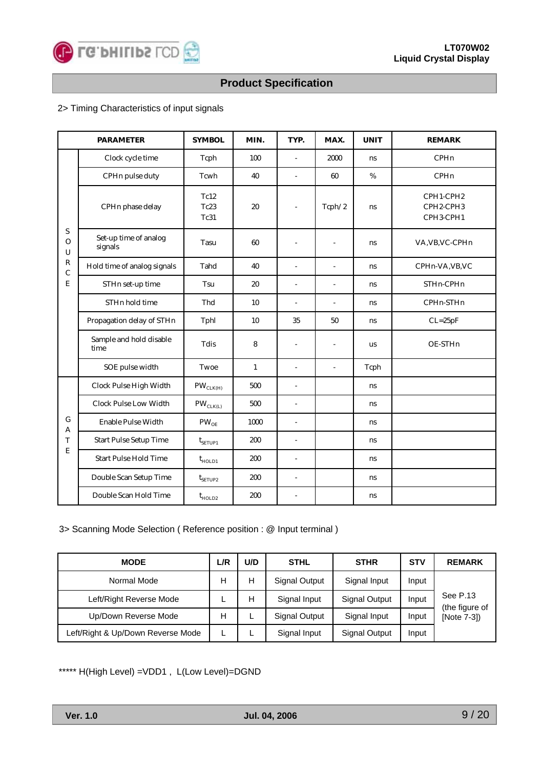

#### 2> Timing Characteristics of input signals

| <b>PARAMETER</b>                           |                                  | <b>SYMBOL</b>             | MIN.         | TYP.                     | MAX.                     | <b>UNIT</b> | <b>REMARK</b>                       |
|--------------------------------------------|----------------------------------|---------------------------|--------------|--------------------------|--------------------------|-------------|-------------------------------------|
|                                            | Clock cycle time                 | Tcph                      | 100          | $\sim$                   | 2000                     | ns          | <b>CPH<sub>n</sub></b>              |
|                                            | CPHn pulse duty                  | Tcwh                      | 40           | $\overline{a}$           | 60                       | $\%$        | CPHn                                |
| $\boldsymbol{\mathsf{S}}$<br>$\Omega$<br>U | CPHn phase delay                 | Tc12<br>Tc23<br>Tc31      | 20           | L,                       | Tcph/2                   | ns          | CPH1-CPH2<br>CPH2-CPH3<br>CPH3-CPH1 |
|                                            | Set-up time of analog<br>signals | Tasu                      | 60           | $\sim$                   | $\overline{\phantom{a}}$ | ns          | VA, VB, VC-CPHn                     |
| ${\bf R}$<br>$\mathbf C$                   | Hold time of analog signals      | Tahd                      | 40           | $\sim$                   | L,                       | ns          | CPHn-VA, VB, VC                     |
| E                                          | STHn set-up time                 | Tsu                       | 20           | $\mathbf{r}$             | $\overline{a}$           | ns          | STHn-CPHn                           |
|                                            | STHn hold time                   | Thd                       | 10           | $\sim$                   | ÷,                       | ns.         | CPHn-STHn                           |
|                                            | Propagation delay of STHn        | Tphl                      | $10\,$       | 35                       | $50\,$                   | ns          | $CL = 25pF$                         |
|                                            | Sample and hold disable<br>time  | Tdis                      | 8            | $\sim$                   | $\overline{\phantom{a}}$ | us          | OE-STHn                             |
|                                            | SOE pulse width                  | Twoe                      | $\mathbf{1}$ | $\sim$                   | $\overline{a}$           | Tcph        |                                     |
|                                            | Clock Pulse High Width           | $\text{PW}_\text{CLK(H)}$ | 500          | $\mathbf{r}$             |                          | ns          |                                     |
|                                            | <b>Clock Pulse Low Width</b>     | $PW_{CLK(L)}$             | 500          | $\overline{\phantom{a}}$ |                          | ns          |                                     |
| $\mathbf G$<br>A                           | Enable Pulse Width               | $\text{PW}_{\text{OE}}$   | 1000         | $\blacksquare$           |                          | ns          |                                     |
| T                                          | <b>Start Pulse Setup Time</b>    | $t_{SETUP1}$              | 200          | $\overline{\phantom{a}}$ |                          | ns          |                                     |
| E                                          | <b>Start Pulse Hold Time</b>     | $t_{HOLD1}$               | 200          | $\mathbf{r}$             |                          | ns          |                                     |
|                                            | Double Scan Setup Time           | $t_{\text{SETUP2}}$       | 200          | $\sim$                   |                          | ns          |                                     |
|                                            | Double Scan Hold Time            | $t_{HOLD2}$               | 200          | $\sim$                   |                          | ns          |                                     |

#### 3> Scanning Mode Selection ( Reference position : @ Input terminal )

| <b>MODE</b>                       | L/R | U/D | <b>STHL</b>   | <b>STHR</b>   | <b>STV</b> | <b>REMARK</b>              |
|-----------------------------------|-----|-----|---------------|---------------|------------|----------------------------|
| Normal Mode                       | н   | н   | Signal Output | Signal Input  | Input      |                            |
| Left/Right Reverse Mode           |     | H   | Signal Input  | Signal Output | Input      | See P.13<br>(the figure of |
| Up/Down Reverse Mode              | н   |     | Signal Output | Signal Input  | Input      | [Note 7-3])                |
| Left/Right & Up/Down Reverse Mode | ┕   |     | Signal Input  | Signal Output | Input      |                            |

\*\*\*\*\* H(High Level) =VDD1 , L(Low Level)=DGND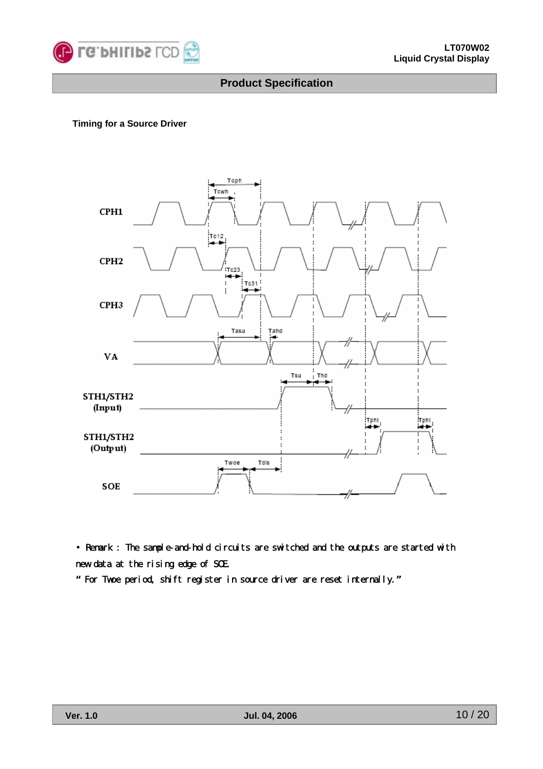

#### **Timing for a Source Driver**



• Remark : The sample-and-hold circuits are switched and the outputs are started with new data at the rising edge of SOE.

**"** For Twoe period, shift register in source driver are reset internally.**"**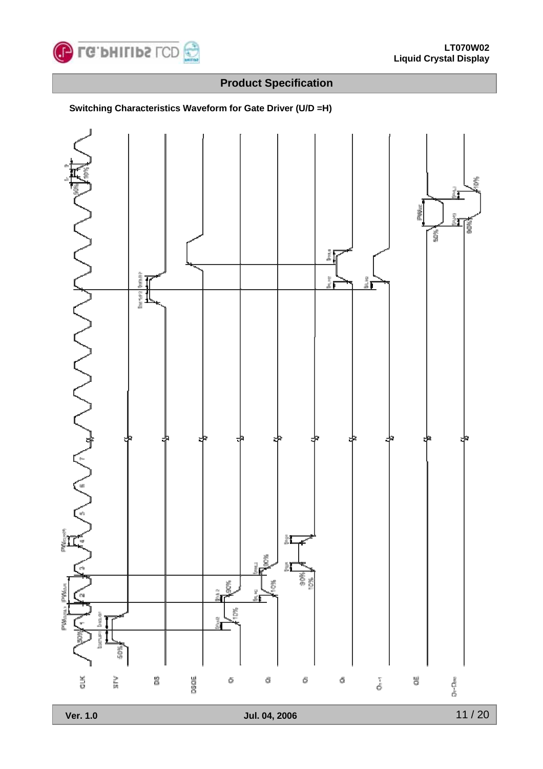



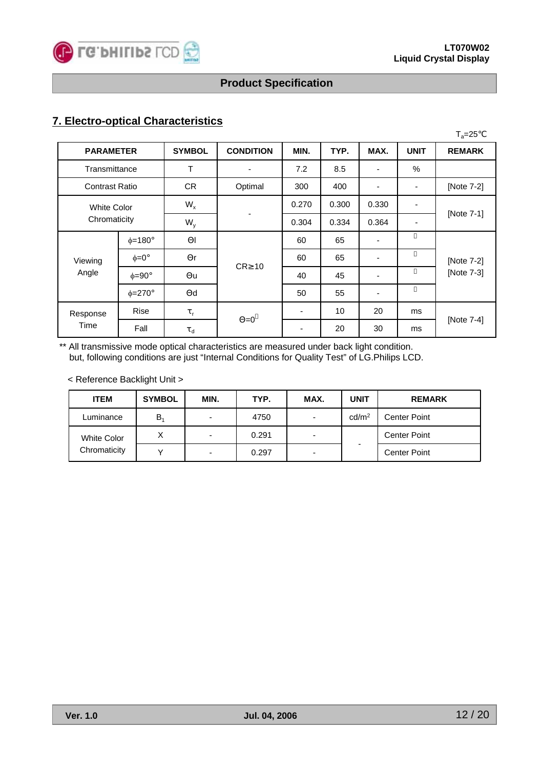

## **7. Electro-optical Characteristics**

|                       |                    |               |                  |       |       |       |             | $T_a = 25$    |  |
|-----------------------|--------------------|---------------|------------------|-------|-------|-------|-------------|---------------|--|
| <b>PARAMETER</b>      |                    | <b>SYMBOL</b> | <b>CONDITION</b> | MIN.  | TYP.  | MAX.  | <b>UNIT</b> | <b>REMARK</b> |  |
| Transmittance         |                    | T             | ٠                | 7.2   | 8.5   | ٠     | $\%$        |               |  |
| <b>Contrast Ratio</b> |                    | CR.           | Optimal          | 300   | 400   | ۰     | -           | [Note 7-2]    |  |
|                       | <b>White Color</b> |               |                  | 0.270 | 0.300 | 0.330 |             |               |  |
| Chromaticity          |                    | $W_{y}$       |                  | 0.304 | 0.334 | 0.364 | ٠           | [Note 7-1]    |  |
|                       | $\phi = 180^\circ$ |               |                  | 60    | 65    | ٠     |             |               |  |
| Viewing               | $\phi = 0^{\circ}$ | r             | CR 10            | 60    | 65    | ٠     |             | [Note 7-2]    |  |
| Angle                 | $\phi = 90^\circ$  | u             |                  | 40    | 45    | ۰     |             | [Note 7-3]    |  |
|                       | $\phi = 270^\circ$ | d             |                  | 50    | 55    |       |             |               |  |
| Response              | Rise               | $\mathsf{r}$  |                  | ۰     | 10    | 20    | ms          |               |  |
| Time                  | Fall               | d             | $=0$             |       | 20    | 30    | ms          | [Note 7-4]    |  |

\*\* All transmissive mode optical characteristics are measured under back light condition. but, following conditions are just "Internal Conditions for Quality Test" of LG.Philips LCD.

< Reference Backlight Unit >

| <b>ITEM</b>  | <b>SYMBOL</b> | MIN. | TYP.  | MAX.                     | <b>UNIT</b>       | <b>REMARK</b>       |
|--------------|---------------|------|-------|--------------------------|-------------------|---------------------|
| Luminance    | $B_4$         |      | 4750  | $\overline{\phantom{0}}$ | cd/m <sup>2</sup> | <b>Center Point</b> |
| White Color  | $\checkmark$  | -    | 0.291 | -                        |                   | <b>Center Point</b> |
| Chromaticity |               |      | 0.297 | $\overline{\phantom{0}}$ |                   | <b>Center Point</b> |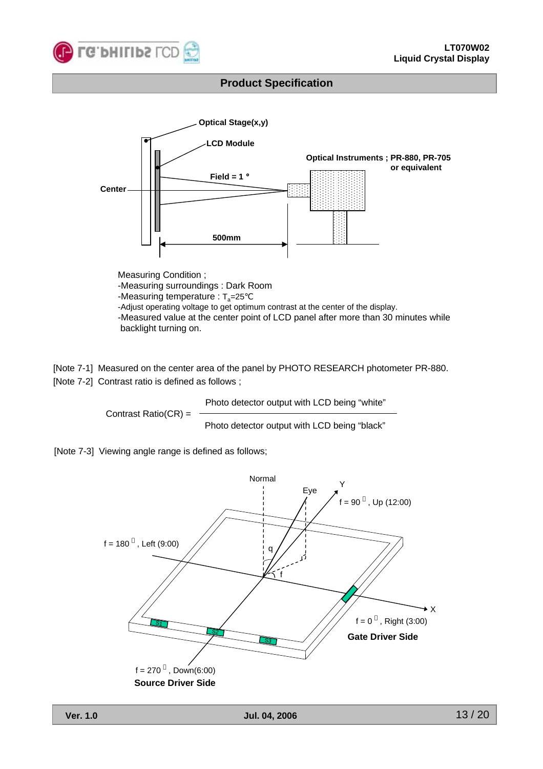



Measuring Condition ; -Measuring surroundings : Dark Room -Measuring temperature :  $T_a = 25$ -Adjust operating voltage to get optimum contrast at the center of the display. -Measured value at the center point of LCD panel after more than 30 minutes while backlight turning on.

[Note 7-1] Measured on the center area of the panel by PHOTO RESEARCH photometer PR-880. [Note 7-2] Contrast ratio is defined as follows ;

Contrast Ratio(CR) = Photo detector output with LCD being "white" Photo detector output with LCD being "black"

[Note 7-3] Viewing angle range is defined as follows;

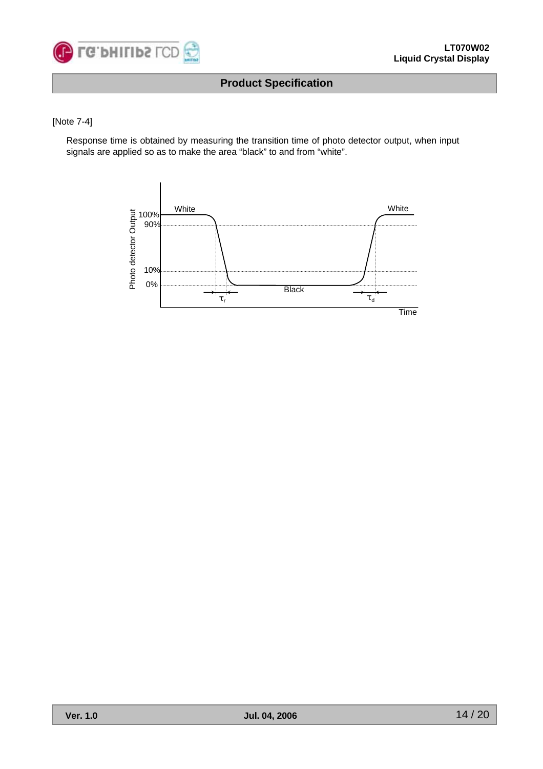

#### [Note 7-4]

Response time is obtained by measuring the transition time of photo detector output, when input signals are applied so as to make the area "black" to and from "white".

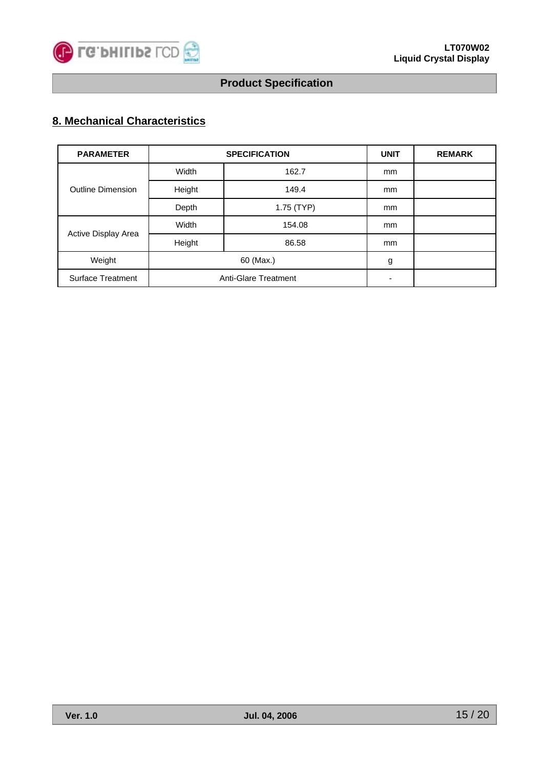

## **8. Mechanical Characteristics**

| <b>PARAMETER</b>         |        | <b>SPECIFICATION</b> | <b>UNIT</b> | <b>REMARK</b> |
|--------------------------|--------|----------------------|-------------|---------------|
|                          | Width  | 162.7                | mm          |               |
| <b>Outline Dimension</b> | Height | 149.4                | mm          |               |
|                          | Depth  | 1.75 (TYP)           | mm          |               |
| Active Display Area      | Width  | 154.08               | mm          |               |
|                          | Height | 86.58                | mm          |               |
| Weight                   |        | 60 (Max.)            | g           |               |
| <b>Surface Treatment</b> |        | Anti-Glare Treatment |             |               |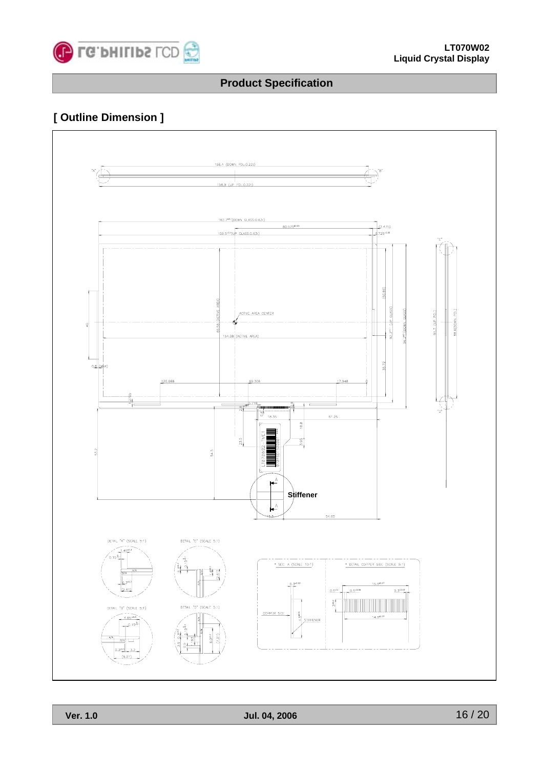

## **[ Outline Dimension ]**

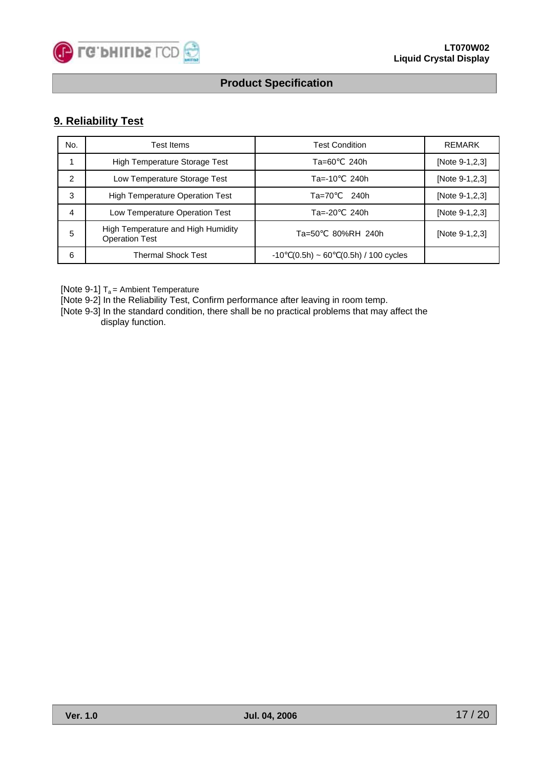![](_page_16_Picture_0.jpeg)

### **9. Reliability Test**

| No. | <b>Test Items</b>                                           | <b>Test Condition</b>                            | REMARK         |
|-----|-------------------------------------------------------------|--------------------------------------------------|----------------|
|     | <b>High Temperature Storage Test</b>                        | 240h<br>Та=60                                    | [Note 9-1,2,3] |
| 2   | Low Temperature Storage Test                                | 240h<br>$Ta = -10$                               | [Note 9-1,2,3] |
| 3   | <b>High Temperature Operation Test</b>                      | $Ta=70$<br>240h                                  | [Note 9-1,2,3] |
| 4   | Low Temperature Operation Test                              | 240h<br>$Ta=-20$                                 | [Note 9-1,2,3] |
| 5   | High Temperature and High Humidity<br><b>Operation Test</b> | 80%RH 240h<br>$Ta=50$                            | [Note 9-1,2,3] |
| 6   | <b>Thermal Shock Test</b>                                   | $(0.5h) \sim 60$<br>$(0.5h) / 100$ cycles<br>-10 |                |

[Note 9-1]  $T_a$  = Ambient Temperature

[Note 9-2] In the Reliability Test, Confirm performance after leaving in room temp.

[Note 9-3] In the standard condition, there shall be no practical problems that may affect the display function.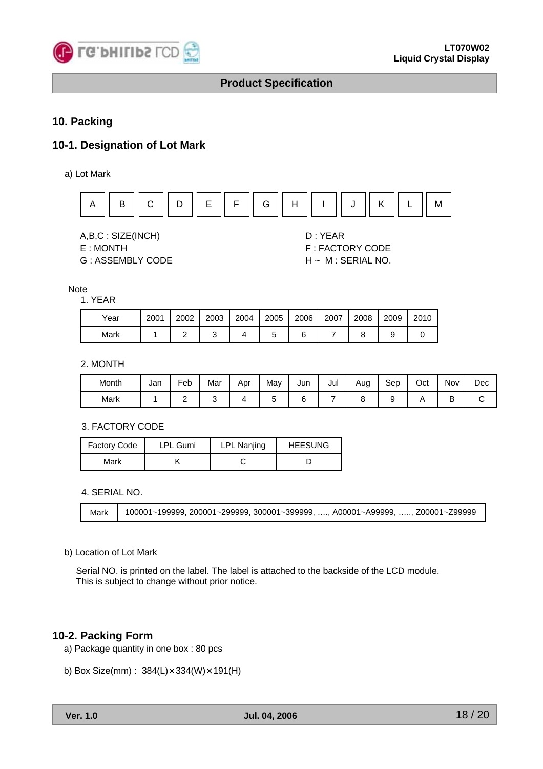![](_page_17_Picture_0.jpeg)

#### **10. Packing**

#### **10-1. Designation of Lot Mark**

a) Lot Mark

![](_page_17_Figure_6.jpeg)

A,B,C : SIZE(INCH) D : YEAR

G : ASSEMBLY CODE H ~ M : SERIAL NO.

E : MONTH F : FACTORY CODE

#### Note

1. YEAR

| Year | 2001 | 2002 | 2003 | 2004 | 2005 | 2006 | 2007 | 2008 | 2009 | 2010 |
|------|------|------|------|------|------|------|------|------|------|------|
| Mark |      |      |      |      |      |      |      |      |      |      |

2. MONTH

| Month | Jan | -<br>Feb | Mar | Apr | May | Jun | Jul | Aug | Sep | Oct | Nov | Dec |
|-------|-----|----------|-----|-----|-----|-----|-----|-----|-----|-----|-----|-----|
| Mark  |     | -        |     |     |     |     |     |     |     |     | ◡   |     |

3. FACTORY CODE

| <b>Factory Code</b> | <b>LPL Gumi</b> | <b>LPL Nanjing</b> | <b>HEESUNG</b> |
|---------------------|-----------------|--------------------|----------------|
| Mark                |                 |                    |                |

4. SERIAL NO.

```
Mark 100001~199999, 200001~299999, 300001~399999, …., A00001~A99999, ….., Z00001~Z99999
```
#### b) Location of Lot Mark

Serial NO. is printed on the label. The label is attached to the backside of the LCD module. This is subject to change without prior notice.

#### **10-2. Packing Form**

- a) Package quantity in one box : 80 pcs
- b) Box Size(mm) : 384(L)×334(W)×191(H)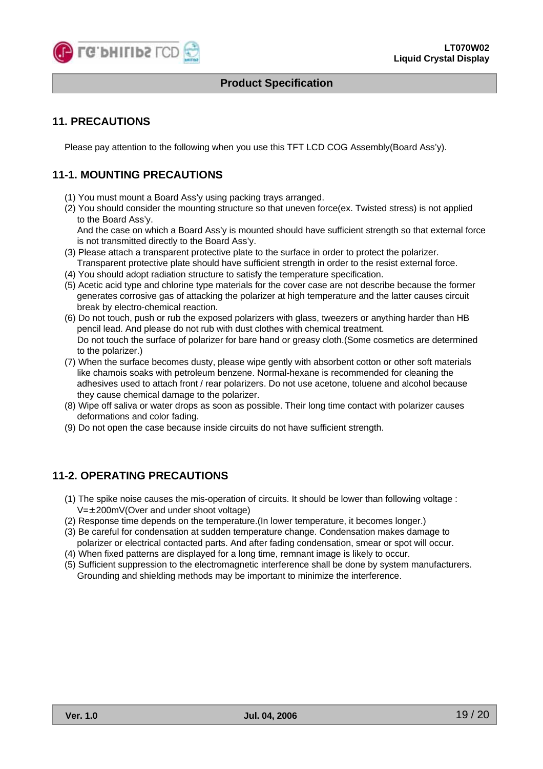![](_page_18_Picture_0.jpeg)

#### **11. PRECAUTIONS**

Please pay attention to the following when you use this TFT LCD COG Assembly(Board Ass'y).

#### **11-1. MOUNTING PRECAUTIONS**

- (1) You must mount a Board Ass'y using packing trays arranged.
- (2) You should consider the mounting structure so that uneven force(ex. Twisted stress) is not applied to the Board Ass'y.

And the case on which a Board Ass'y is mounted should have sufficient strength so that external force is not transmitted directly to the Board Ass'y.

- (3) Please attach a transparent protective plate to the surface in order to protect the polarizer. Transparent protective plate should have sufficient strength in order to the resist external force.
- (4) You should adopt radiation structure to satisfy the temperature specification.
- (5) Acetic acid type and chlorine type materials for the cover case are not describe because the former generates corrosive gas of attacking the polarizer at high temperature and the latter causes circuit break by electro-chemical reaction.
- (6) Do not touch, push or rub the exposed polarizers with glass, tweezers or anything harder than HB pencil lead. And please do not rub with dust clothes with chemical treatment. Do not touch the surface of polarizer for bare hand or greasy cloth.(Some cosmetics are determined to the polarizer.)
- (7) When the surface becomes dusty, please wipe gently with absorbent cotton or other soft materials like chamois soaks with petroleum benzene. Normal-hexane is recommended for cleaning the adhesives used to attach front / rear polarizers. Do not use acetone, toluene and alcohol because they cause chemical damage to the polarizer.
- (8) Wipe off saliva or water drops as soon as possible. Their long time contact with polarizer causes deformations and color fading.
- (9) Do not open the case because inside circuits do not have sufficient strength.

#### **11-2. OPERATING PRECAUTIONS**

- (1) The spike noise causes the mis-operation of circuits. It should be lower than following voltage :  $V=\pm$  200mV(Over and under shoot voltage)
- (2) Response time depends on the temperature.(In lower temperature, it becomes longer.)
- (3) Be careful for condensation at sudden temperature change. Condensation makes damage to polarizer or electrical contacted parts. And after fading condensation, smear or spot will occur.
- (4) When fixed patterns are displayed for a long time, remnant image is likely to occur.
- (5) Sufficient suppression to the electromagnetic interference shall be done by system manufacturers. Grounding and shielding methods may be important to minimize the interference.